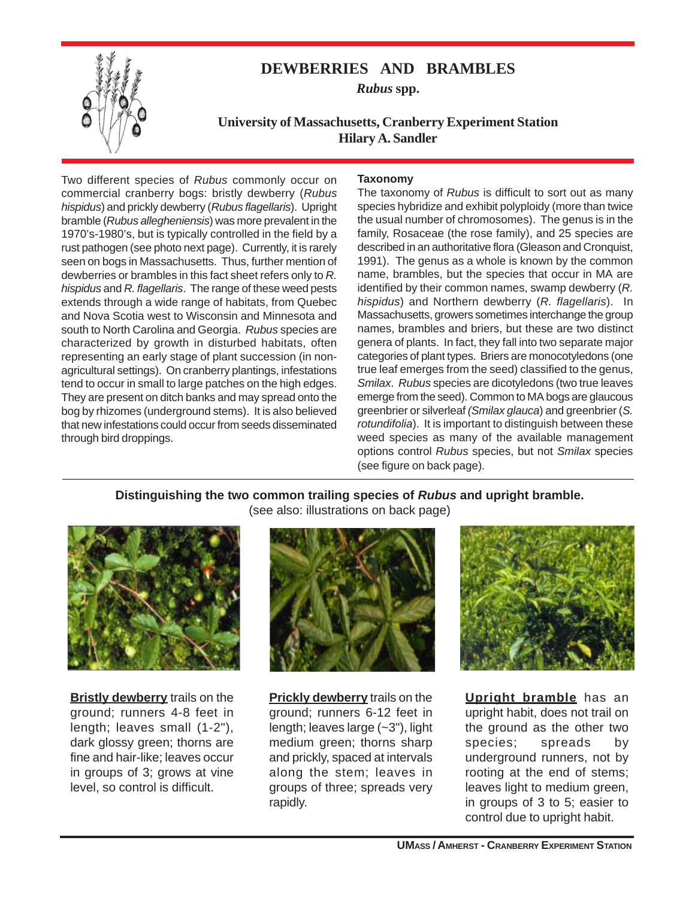

# **DEWBERRIES AND BRAMBLES**

*Rubus* **spp.**

**University of Massachusetts, Cranberry Experiment Station Hilary A. Sandler**

Two different species of *Rubus* commonly occur on commercial cranberry bogs: bristly dewberry (*Rubus hispidus*) and prickly dewberry (*Rubus flagellaris*). Upright bramble (*Rubus allegheniensis*) was more prevalent in the 1970's-1980's, but is typically controlled in the field by a rust pathogen (see photo next page). Currently, it is rarely seen on bogs in Massachusetts. Thus, further mention of dewberries or brambles in this fact sheet refers only to *R. hispidus* and *R. flagellaris*. The range of these weed pests extends through a wide range of habitats, from Quebec and Nova Scotia west to Wisconsin and Minnesota and south to North Carolina and Georgia. *Rubus* species are characterized by growth in disturbed habitats, often representing an early stage of plant succession (in nonagricultural settings). On cranberry plantings, infestations tend to occur in small to large patches on the high edges. They are present on ditch banks and may spread onto the bog by rhizomes (underground stems). It is also believed that new infestations could occur from seeds disseminated through bird droppings.

# **Taxonomy**

The taxonomy of *Rubus* is difficult to sort out as many species hybridize and exhibit polyploidy (more than twice the usual number of chromosomes). The genus is in the family, Rosaceae (the rose family), and 25 species are described in an authoritative flora (Gleason and Cronquist, 1991). The genus as a whole is known by the common name, brambles, but the species that occur in MA are identified by their common names, swamp dewberry (*R. hispidus*) and Northern dewberry (*R. flagellaris*). In Massachusetts, growers sometimes interchange the group names, brambles and briers, but these are two distinct genera of plants. In fact, they fall into two separate major categories of plant types. Briers are monocotyledons (one true leaf emerges from the seed) classified to the genus, *Smilax*. *Rubus* species are dicotyledons (two true leaves emerge from the seed). Common to MA bogs are glaucous greenbrier or silverleaf *(Smilax glauca*) and greenbrier (*S. rotundifolia*). It is important to distinguish between these weed species as many of the available management options control *Rubus* species, but not *Smilax* species (see figure on back page).

# **Distinguishing the two common trailing species of** *Rubus* **and upright bramble.** (see also: illustrations on back page)



**Bristly dewberry** trails on the ground; runners 4-8 feet in length; leaves small (1-2"), dark glossy green; thorns are fine and hair-like; leaves occur in groups of 3; grows at vine level, so control is difficult.



**Prickly dewberry** trails on the ground; runners 6-12 feet in length; leaves large (~3"), light medium green; thorns sharp and prickly, spaced at intervals along the stem; leaves in groups of three; spreads very rapidly.



**Upright bramble** has an upright habit, does not trail on the ground as the other two species; spreads by underground runners, not by rooting at the end of stems; leaves light to medium green, in groups of 3 to 5; easier to control due to upright habit.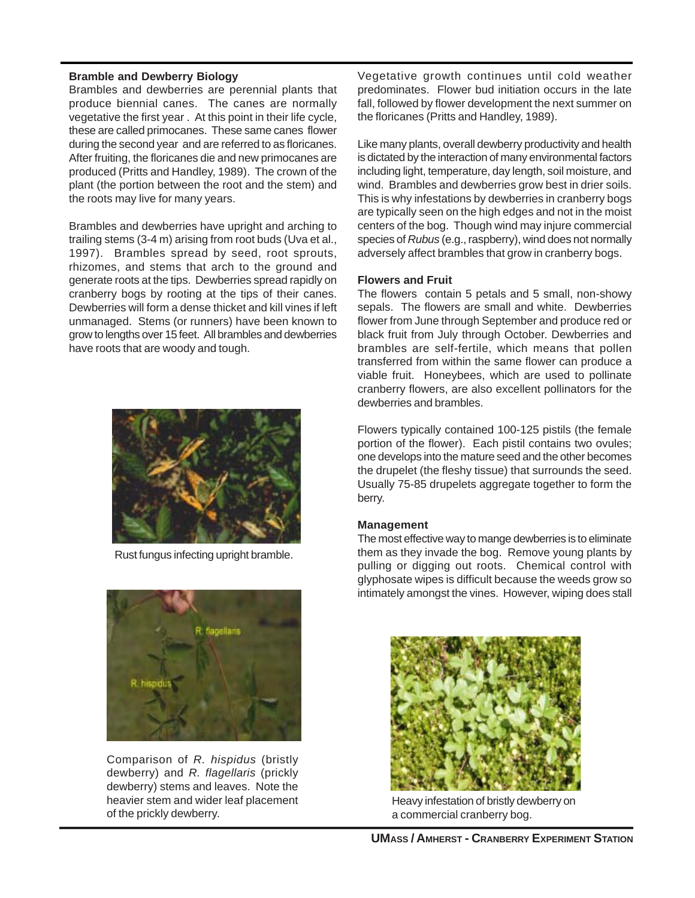#### **Bramble and Dewberry Biology**

Brambles and dewberries are perennial plants that produce biennial canes. The canes are normally vegetative the first year . At this point in their life cycle, these are called primocanes. These same canes flower during the second year and are referred to as floricanes. After fruiting, the floricanes die and new primocanes are produced (Pritts and Handley, 1989). The crown of the plant (the portion between the root and the stem) and the roots may live for many years.

Brambles and dewberries have upright and arching to trailing stems (3-4 m) arising from root buds (Uva et al., 1997). Brambles spread by seed, root sprouts, rhizomes, and stems that arch to the ground and generate roots at the tips. Dewberries spread rapidly on cranberry bogs by rooting at the tips of their canes. Dewberries will form a dense thicket and kill vines if left unmanaged. Stems (or runners) have been known to grow to lengths over 15 feet. All brambles and dewberries have roots that are woody and tough.



Rust fungus infecting upright bramble.



Comparison of *R. hispidus* (bristly dewberry) and *R. flagellaris* (prickly dewberry) stems and leaves. Note the heavier stem and wider leaf placement of the prickly dewberry.

Vegetative growth continues until cold weather predominates. Flower bud initiation occurs in the late fall, followed by flower development the next summer on the floricanes (Pritts and Handley, 1989).

Like many plants, overall dewberry productivity and health is dictated by the interaction of many environmental factors including light, temperature, day length, soil moisture, and wind. Brambles and dewberries grow best in drier soils. This is why infestations by dewberries in cranberry bogs are typically seen on the high edges and not in the moist centers of the bog. Though wind may injure commercial species of *Rubus* (e.g., raspberry), wind does not normally adversely affect brambles that grow in cranberry bogs.

#### **Flowers and Fruit**

The flowers contain 5 petals and 5 small, non-showy sepals. The flowers are small and white. Dewberries flower from June through September and produce red or black fruit from July through October. Dewberries and brambles are self-fertile, which means that pollen transferred from within the same flower can produce a viable fruit. Honeybees, which are used to pollinate cranberry flowers, are also excellent pollinators for the dewberries and brambles.

Flowers typically contained 100-125 pistils (the female portion of the flower). Each pistil contains two ovules; one develops into the mature seed and the other becomes the drupelet (the fleshy tissue) that surrounds the seed. Usually 75-85 drupelets aggregate together to form the berry.

# **Management**

The most effective way to mange dewberries is to eliminate them as they invade the bog. Remove young plants by pulling or digging out roots. Chemical control with glyphosate wipes is difficult because the weeds grow so intimately amongst the vines. However, wiping does stall



Heavy infestation of bristly dewberry on a commercial cranberry bog.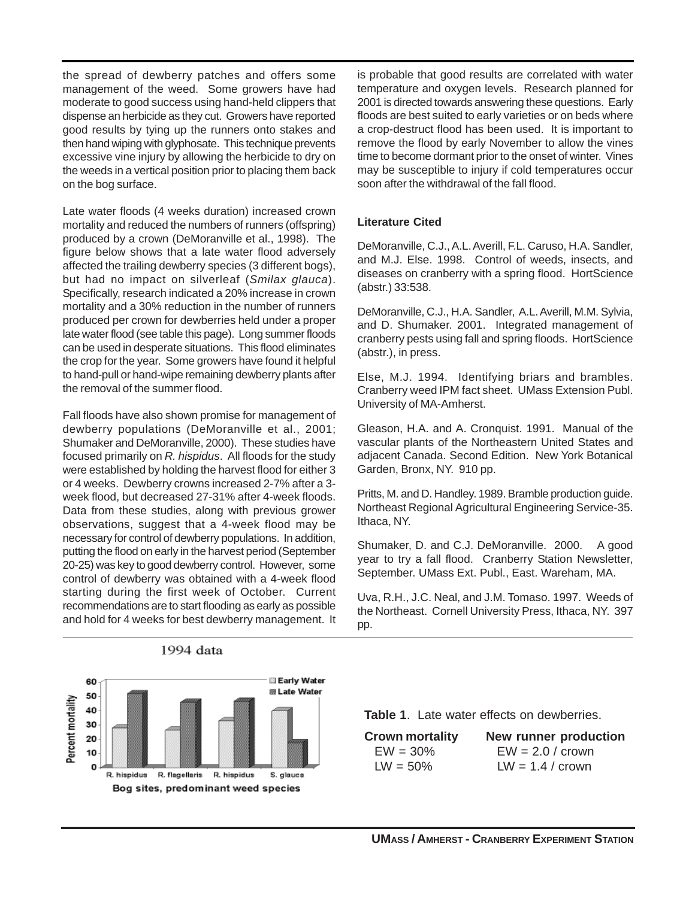the spread of dewberry patches and offers some management of the weed. Some growers have had moderate to good success using hand-held clippers that dispense an herbicide as they cut. Growers have reported good results by tying up the runners onto stakes and then hand wiping with glyphosate. This technique prevents excessive vine injury by allowing the herbicide to dry on the weeds in a vertical position prior to placing them back on the bog surface.

Late water floods (4 weeks duration) increased crown mortality and reduced the numbers of runners (offspring) produced by a crown (DeMoranville et al., 1998). The figure below shows that a late water flood adversely affected the trailing dewberry species (3 different bogs), but had no impact on silverleaf (*Smilax glauca*). Specifically, research indicated a 20% increase in crown mortality and a 30% reduction in the number of runners produced per crown for dewberries held under a proper late water flood (see table this page). Long summer floods can be used in desperate situations. This flood eliminates the crop for the year. Some growers have found it helpful to hand-pull or hand-wipe remaining dewberry plants after the removal of the summer flood.

Fall floods have also shown promise for management of dewberry populations (DeMoranville et al., 2001; Shumaker and DeMoranville, 2000). These studies have focused primarily on *R. hispidus*. All floods for the study were established by holding the harvest flood for either 3 or 4 weeks. Dewberry crowns increased 2-7% after a 3 week flood, but decreased 27-31% after 4-week floods. Data from these studies, along with previous grower observations, suggest that a 4-week flood may be necessary for control of dewberry populations. In addition, putting the flood on early in the harvest period (September 20-25) was key to good dewberry control. However, some control of dewberry was obtained with a 4-week flood starting during the first week of October. Current recommendations are to start flooding as early as possible and hold for 4 weeks for best dewberry management. It

is probable that good results are correlated with water temperature and oxygen levels. Research planned for 2001 is directed towards answering these questions. Early floods are best suited to early varieties or on beds where a crop-destruct flood has been used. It is important to remove the flood by early November to allow the vines time to become dormant prior to the onset of winter. Vines may be susceptible to injury if cold temperatures occur soon after the withdrawal of the fall flood.

#### **Literature Cited**

DeMoranville, C.J., A.L. Averill, F.L. Caruso, H.A. Sandler, and M.J. Else. 1998. Control of weeds, insects, and diseases on cranberry with a spring flood. HortScience (abstr.) 33:538.

DeMoranville, C.J., H.A. Sandler, A.L. Averill, M.M. Sylvia, and D. Shumaker. 2001. Integrated management of cranberry pests using fall and spring floods. HortScience (abstr.), in press.

Else, M.J. 1994. Identifying briars and brambles. Cranberry weed IPM fact sheet. UMass Extension Publ. University of MA-Amherst.

Gleason, H.A. and A. Cronquist. 1991. Manual of the vascular plants of the Northeastern United States and adjacent Canada. Second Edition. New York Botanical Garden, Bronx, NY. 910 pp.

Pritts, M. and D. Handley. 1989. Bramble production guide. Northeast Regional Agricultural Engineering Service-35. Ithaca, NY.

Shumaker, D. and C.J. DeMoranville. 2000. A good year to try a fall flood. Cranberry Station Newsletter, September. UMass Ext. Publ., East. Wareham, MA.

Uva, R.H., J.C. Neal, and J.M. Tomaso. 1997. Weeds of the Northeast. Cornell University Press, Ithaca, NY. 397 pp.



1994 data

**Table 1**. Late water effects on dewberries.

| <b>Crown mortality</b> | <b>New runner production</b> |
|------------------------|------------------------------|
| $EW = 30\%$            | $EW = 2.0 /$ crown           |
| $LW = 50\%$            | $LW = 1.4 /$ crown           |